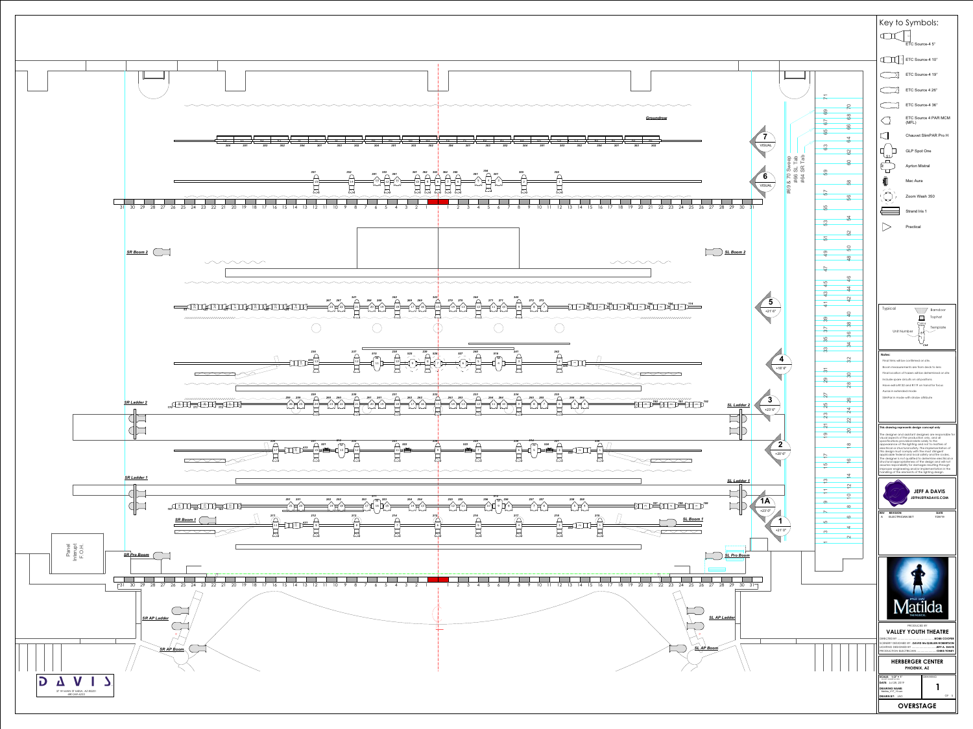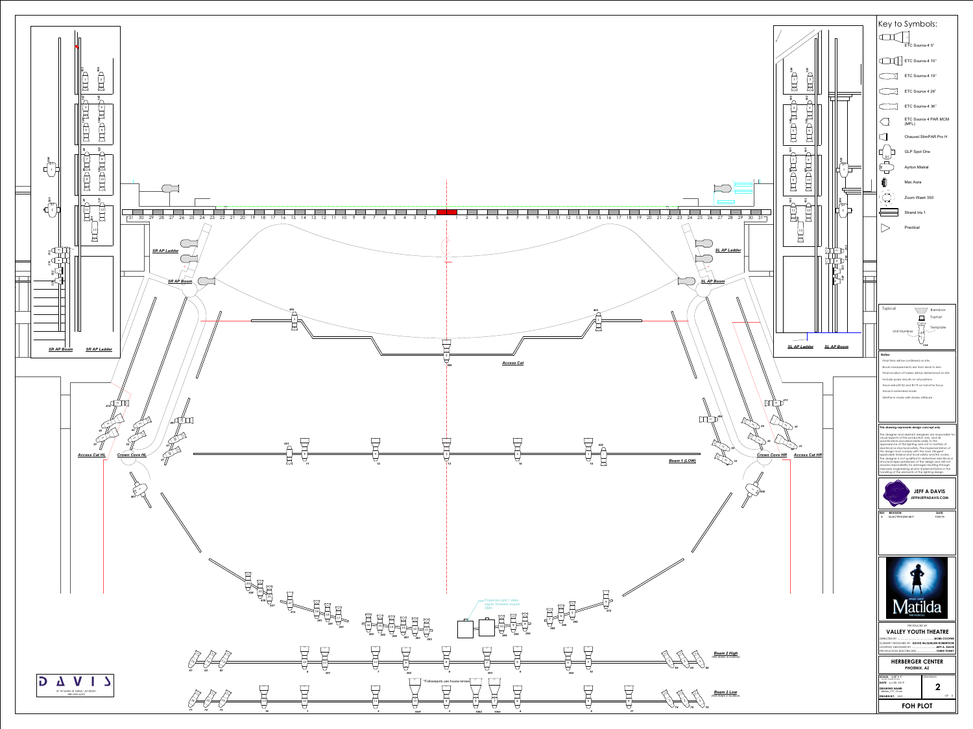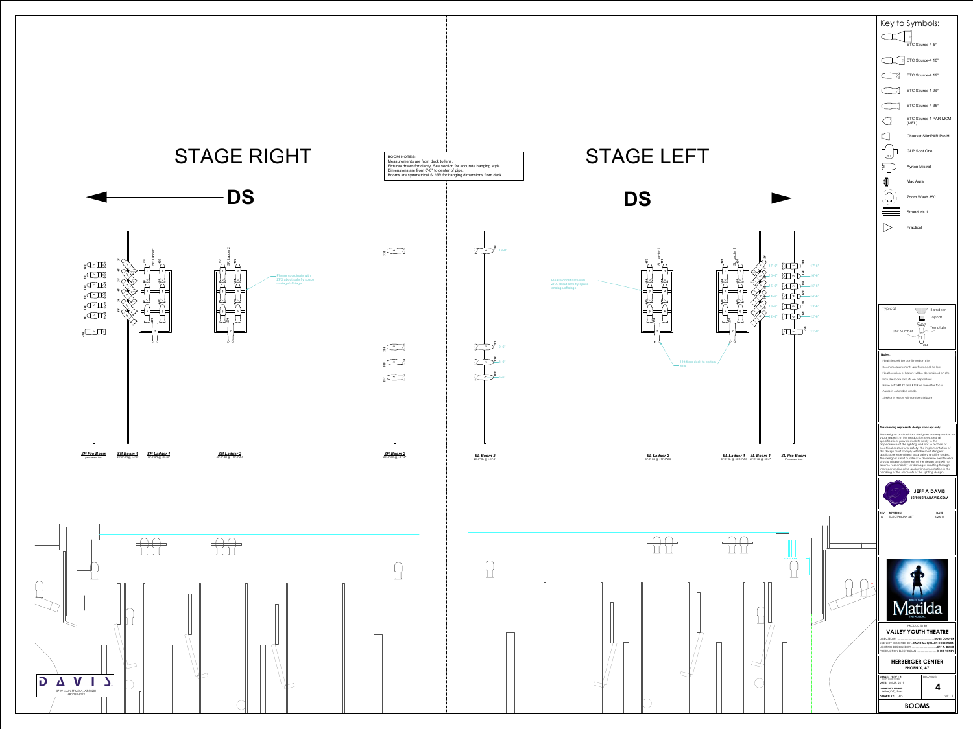## - Please coordinate with ZFX about safe fly space onstage/offstage

 $\Box$ 

ო





*333*

4*331*

*331*

*SR Boom 2 28'-0" SR @ +31'-9"*

 $\sim$ 

1*335* BOOM NOTES:



Measurements are from deck to lens. Fixtures drawn for clarity, See section for accurate hanging style. Dimensions are from 0'-0" to center of pipe. Booms are symmetrical SL/SR for hanging dimensions from deck.